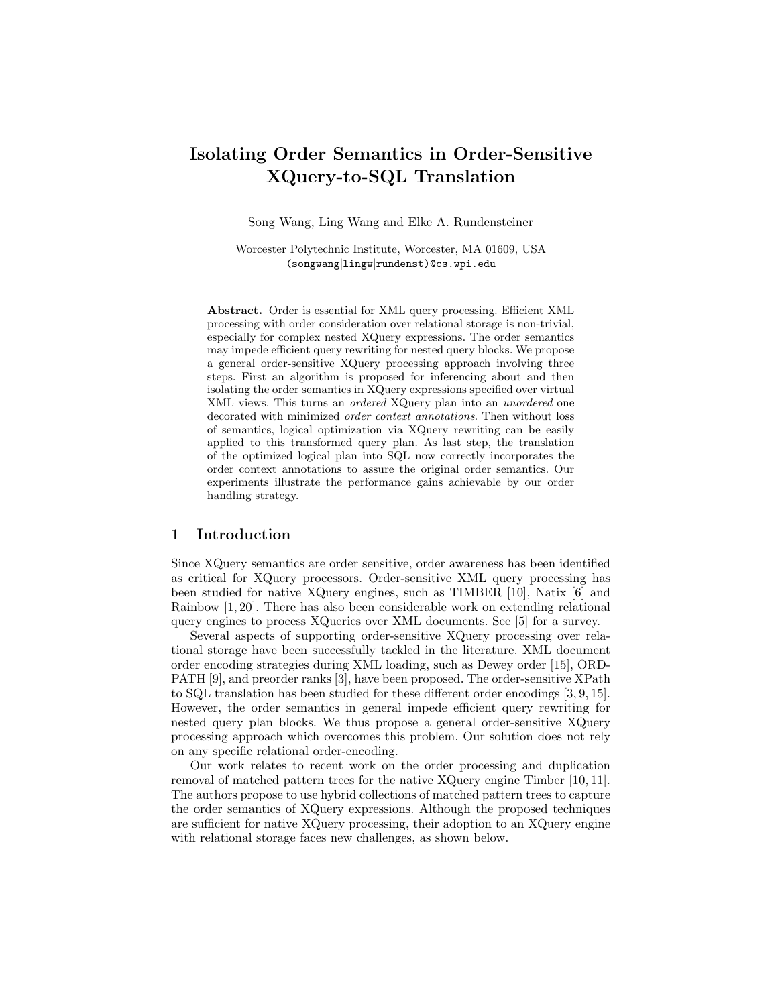# Isolating Order Semantics in Order-Sensitive XQuery-to-SQL Translation

Song Wang, Ling Wang and Elke A. Rundensteiner

Worcester Polytechnic Institute, Worcester, MA 01609, USA (songwang|lingw|rundenst)@cs.wpi.edu

Abstract. Order is essential for XML query processing. Efficient XML processing with order consideration over relational storage is non-trivial, especially for complex nested XQuery expressions. The order semantics may impede efficient query rewriting for nested query blocks. We propose a general order-sensitive XQuery processing approach involving three steps. First an algorithm is proposed for inferencing about and then isolating the order semantics in XQuery expressions specified over virtual XML views. This turns an ordered XQuery plan into an unordered one decorated with minimized order context annotations. Then without loss of semantics, logical optimization via XQuery rewriting can be easily applied to this transformed query plan. As last step, the translation of the optimized logical plan into SQL now correctly incorporates the order context annotations to assure the original order semantics. Our experiments illustrate the performance gains achievable by our order handling strategy.

# 1 Introduction

Since XQuery semantics are order sensitive, order awareness has been identified as critical for XQuery processors. Order-sensitive XML query processing has been studied for native XQuery engines, such as TIMBER [10], Natix [6] and Rainbow [1, 20]. There has also been considerable work on extending relational query engines to process XQueries over XML documents. See [5] for a survey.

Several aspects of supporting order-sensitive XQuery processing over relational storage have been successfully tackled in the literature. XML document order encoding strategies during XML loading, such as Dewey order [15], ORD-PATH [9], and preorder ranks [3], have been proposed. The order-sensitive XPath to SQL translation has been studied for these different order encodings [3, 9, 15]. However, the order semantics in general impede efficient query rewriting for nested query plan blocks. We thus propose a general order-sensitive XQuery processing approach which overcomes this problem. Our solution does not rely on any specific relational order-encoding.

Our work relates to recent work on the order processing and duplication removal of matched pattern trees for the native XQuery engine Timber [10, 11]. The authors propose to use hybrid collections of matched pattern trees to capture the order semantics of XQuery expressions. Although the proposed techniques are sufficient for native XQuery processing, their adoption to an XQuery engine with relational storage faces new challenges, as shown below.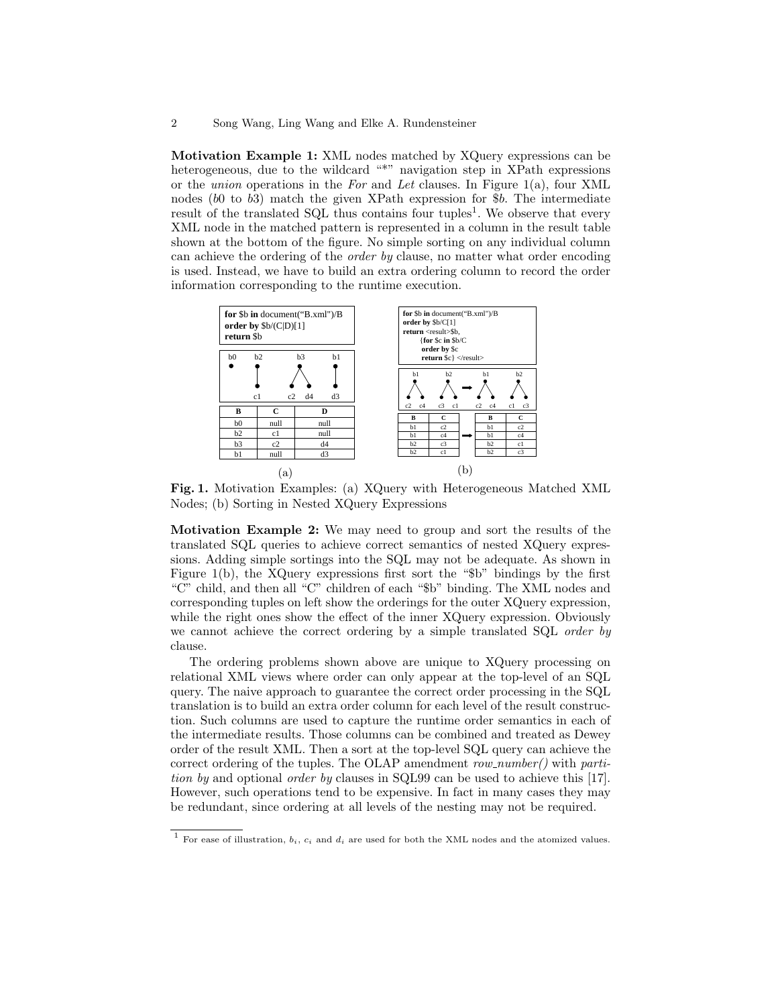Motivation Example 1: XML nodes matched by XQuery expressions can be heterogeneous, due to the wildcard "\*" navigation step in XPath expressions or the union operations in the For and Let clauses. In Figure 1(a), four XML nodes (b0 to b3) match the given XPath expression for \$b. The intermediate result of the translated SQL thus contains four tuples<sup>1</sup>. We observe that every XML node in the matched pattern is represented in a column in the result table shown at the bottom of the figure. No simple sorting on any individual column can achieve the ordering of the order by clause, no matter what order encoding is used. Instead, we have to build an extra ordering column to record the order information corresponding to the runtime execution.



Fig. 1. Motivation Examples: (a) XQuery with Heterogeneous Matched XML Nodes; (b) Sorting in Nested XQuery Expressions

Motivation Example 2: We may need to group and sort the results of the translated SQL queries to achieve correct semantics of nested XQuery expressions. Adding simple sortings into the SQL may not be adequate. As shown in Figure 1(b), the XQuery expressions first sort the "\$b" bindings by the first "C" child, and then all "C" children of each "\$b" binding. The XML nodes and corresponding tuples on left show the orderings for the outer XQuery expression, while the right ones show the effect of the inner XQuery expression. Obviously we cannot achieve the correct ordering by a simple translated SQL order by clause.

The ordering problems shown above are unique to XQuery processing on relational XML views where order can only appear at the top-level of an SQL query. The naive approach to guarantee the correct order processing in the SQL translation is to build an extra order column for each level of the result construction. Such columns are used to capture the runtime order semantics in each of the intermediate results. Those columns can be combined and treated as Dewey order of the result XML. Then a sort at the top-level SQL query can achieve the correct ordering of the tuples. The OLAP amendment  $row_number()$  with partition by and optional order by clauses in SQL99 can be used to achieve this [17]. However, such operations tend to be expensive. In fact in many cases they may be redundant, since ordering at all levels of the nesting may not be required.

 $^{\rm 1}$  For ease of illustration,  $b_i,$   $c_i$  and  $d_i$  are used for both the XML nodes and the atomized values.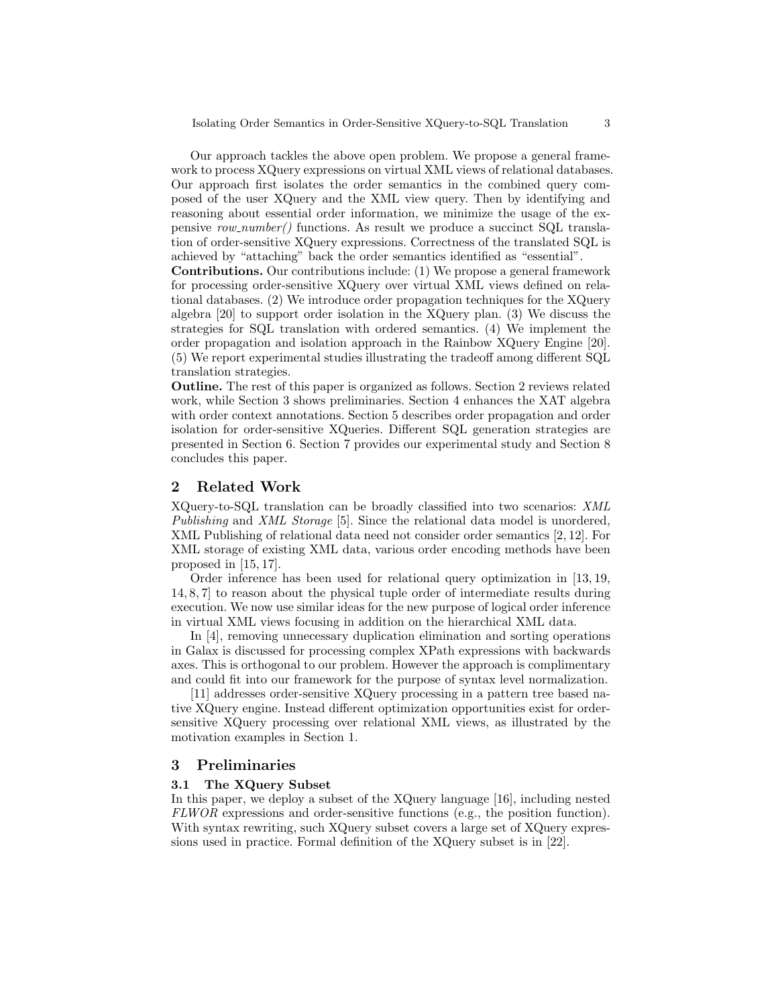Our approach tackles the above open problem. We propose a general framework to process XQuery expressions on virtual XML views of relational databases. Our approach first isolates the order semantics in the combined query composed of the user XQuery and the XML view query. Then by identifying and reasoning about essential order information, we minimize the usage of the expensive row number() functions. As result we produce a succinct SQL translation of order-sensitive XQuery expressions. Correctness of the translated SQL is achieved by "attaching" back the order semantics identified as "essential".

Contributions. Our contributions include: (1) We propose a general framework for processing order-sensitive XQuery over virtual XML views defined on relational databases. (2) We introduce order propagation techniques for the XQuery algebra [20] to support order isolation in the XQuery plan. (3) We discuss the strategies for SQL translation with ordered semantics. (4) We implement the order propagation and isolation approach in the Rainbow XQuery Engine [20]. (5) We report experimental studies illustrating the tradeoff among different SQL translation strategies.

Outline. The rest of this paper is organized as follows. Section 2 reviews related work, while Section 3 shows preliminaries. Section 4 enhances the XAT algebra with order context annotations. Section 5 describes order propagation and order isolation for order-sensitive XQueries. Different SQL generation strategies are presented in Section 6. Section 7 provides our experimental study and Section 8 concludes this paper.

# 2 Related Work

XQuery-to-SQL translation can be broadly classified into two scenarios: XML Publishing and XML Storage [5]. Since the relational data model is unordered, XML Publishing of relational data need not consider order semantics [2, 12]. For XML storage of existing XML data, various order encoding methods have been proposed in [15, 17].

Order inference has been used for relational query optimization in [13, 19, 14, 8, 7] to reason about the physical tuple order of intermediate results during execution. We now use similar ideas for the new purpose of logical order inference in virtual XML views focusing in addition on the hierarchical XML data.

In [4], removing unnecessary duplication elimination and sorting operations in Galax is discussed for processing complex XPath expressions with backwards axes. This is orthogonal to our problem. However the approach is complimentary and could fit into our framework for the purpose of syntax level normalization.

[11] addresses order-sensitive XQuery processing in a pattern tree based native XQuery engine. Instead different optimization opportunities exist for ordersensitive XQuery processing over relational XML views, as illustrated by the motivation examples in Section 1.

# 3 Preliminaries

#### 3.1 The XQuery Subset

In this paper, we deploy a subset of the XQuery language [16], including nested FLWOR expressions and order-sensitive functions (e.g., the position function). With syntax rewriting, such XQuery subset covers a large set of XQuery expressions used in practice. Formal definition of the XQuery subset is in [22].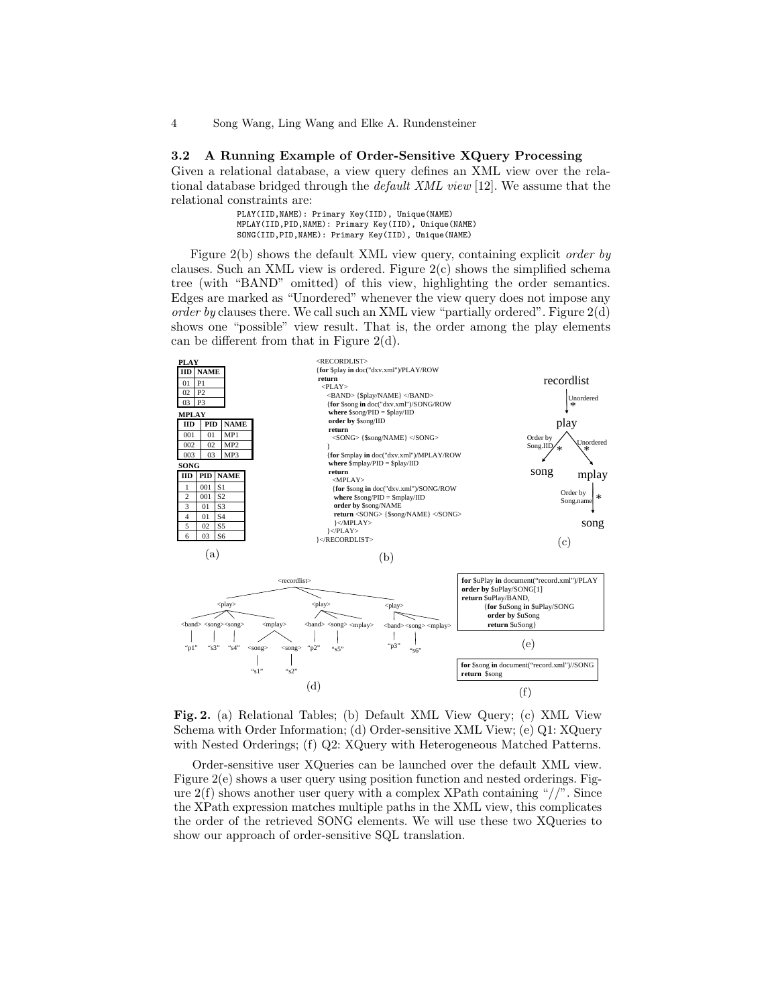#### 3.2 A Running Example of Order-Sensitive XQuery Processing

Given a relational database, a view query defines an XML view over the relational database bridged through the default XML view [12]. We assume that the relational constraints are:

| PLAY(IID, NAME): Primary Key(IID), Unique(NAME)       |  |
|-------------------------------------------------------|--|
| MPLAY(IID, PID, NAME): Primary Key(IID), Unique(NAME) |  |
| SONG(IID, PID, NAME): Primary Key(IID), Unique(NAME)  |  |

Figure 2(b) shows the default XML view query, containing explicit order by clauses. Such an XML view is ordered. Figure 2(c) shows the simplified schema tree (with "BAND" omitted) of this view, highlighting the order semantics. Edges are marked as "Unordered" whenever the view query does not impose any order by clauses there. We call such an XML view "partially ordered". Figure  $2(d)$ shows one "possible" view result. That is, the order among the play elements can be different from that in Figure 2(d).



Fig. 2. (a) Relational Tables; (b) Default XML View Query; (c) XML View Schema with Order Information; (d) Order-sensitive XML View; (e) Q1: XQuery with Nested Orderings; (f) Q2: XQuery with Heterogeneous Matched Patterns.

Order-sensitive user XQueries can be launched over the default XML view. Figure 2(e) shows a user query using position function and nested orderings. Figure  $2(f)$  shows another user query with a complex XPath containing "//". Since the XPath expression matches multiple paths in the XML view, this complicates the order of the retrieved SONG elements. We will use these two XQueries to show our approach of order-sensitive SQL translation.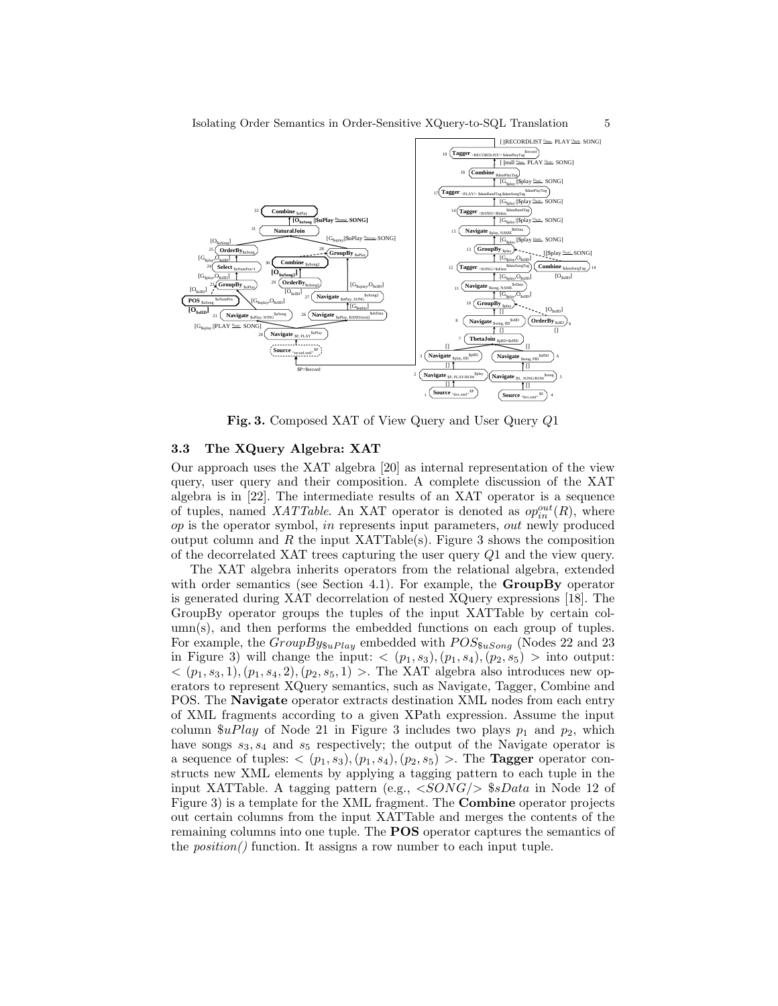

Fig. 3. Composed XAT of View Query and User Query Q1

#### 3.3 The XQuery Algebra: XAT

Our approach uses the XAT algebra [20] as internal representation of the view query, user query and their composition. A complete discussion of the XAT algebra is in [22]. The intermediate results of an XAT operator is a sequence of tuples, named XATTable. An XAT operator is denoted as  $op_{in}^{out}(R)$ , where  $op$  is the operator symbol, in represents input parameters, out newly produced output column and R the input XATTable(s). Figure 3 shows the composition of the decorrelated XAT trees capturing the user query Q1 and the view query.

The XAT algebra inherits operators from the relational algebra, extended with order semantics (see Section 4.1). For example, the  $GroupBy$  operator is generated during XAT decorrelation of nested XQuery expressions [18]. The GroupBy operator groups the tuples of the input XATTable by certain column(s), and then performs the embedded functions on each group of tuples. For example, the  $GroupBy_{\$uPlay}$  embedded with  $POS_{\$u Song}$  (Nodes 22 and 23 in Figure 3) will change the input:  $\langle (p_1, s_3), (p_1, s_4), (p_2, s_5) \rangle$  into output:  $\langle (p_1, s_3, 1), (p_1, s_4, 2), (p_2, s_5, 1) \rangle$ . The XAT algebra also introduces new operators to represent XQuery semantics, such as Navigate, Tagger, Combine and POS. The Navigate operator extracts destination XML nodes from each entry of XML fragments according to a given XPath expression. Assume the input column  $\mathcal{F}uPlay$  of Node 21 in Figure 3 includes two plays  $p_1$  and  $p_2$ , which have songs  $s_3, s_4$  and  $s_5$  respectively; the output of the Navigate operator is a sequence of tuples:  $\langle (p_1, s_3), (p_1, s_4), (p_2, s_5) \rangle$ . The **Tagger** operator constructs new XML elements by applying a tagging pattern to each tuple in the input XATTable. A tagging pattern (e.g.,  $\langle SONG \rangle$  \$sData in Node 12 of Figure 3) is a template for the XML fragment. The Combine operator projects out certain columns from the input XATTable and merges the contents of the remaining columns into one tuple. The POS operator captures the semantics of the position() function. It assigns a row number to each input tuple.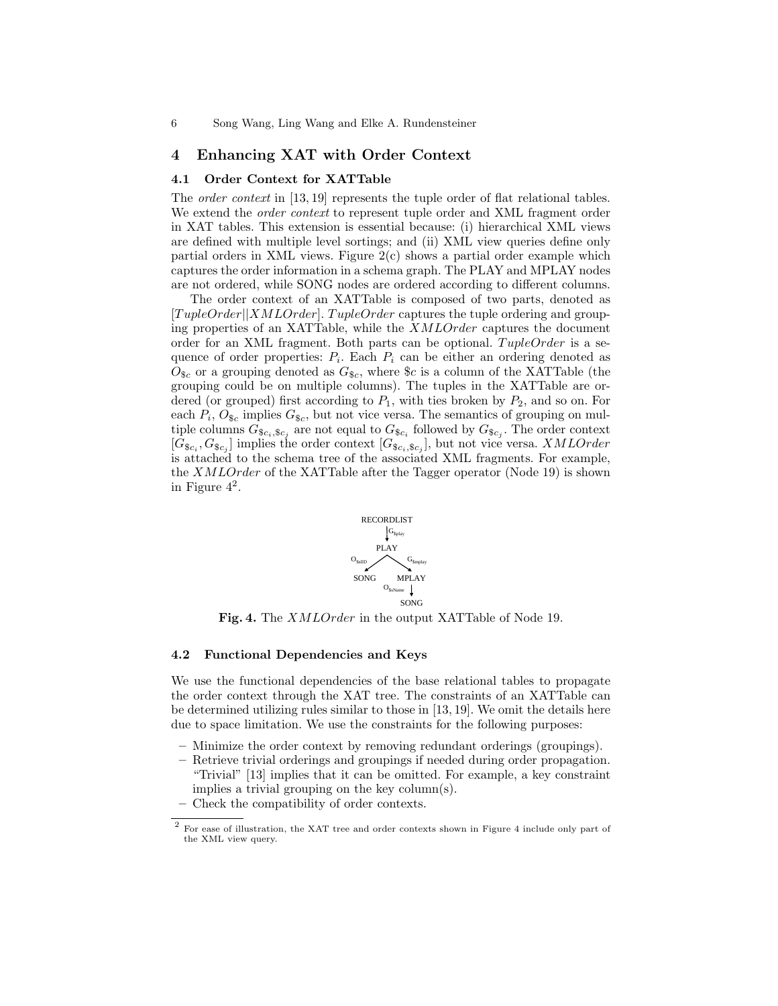#### 4 Enhancing XAT with Order Context

#### 4.1 Order Context for XATTable

The *order context* in [13, 19] represents the tuple order of flat relational tables. We extend the *order context* to represent tuple order and XML fragment order in XAT tables. This extension is essential because: (i) hierarchical XML views are defined with multiple level sortings; and (ii) XML view queries define only partial orders in XML views. Figure  $2(c)$  shows a partial order example which captures the order information in a schema graph. The PLAY and MPLAY nodes are not ordered, while SONG nodes are ordered according to different columns.

The order context of an XATTable is composed of two parts, denoted as  $[TupleOrder|XMLOrder]$ . TupleOrder captures the tuple ordering and grouping properties of an XATTable, while the XMLOrder captures the document order for an XML fragment. Both parts can be optional.  $TupleOrder$  is a sequence of order properties:  $P_i$ . Each  $P_i$  can be either an ordering denoted as  $O_{\$c}$  or a grouping denoted as  $G_{\$c}$ , where  $\$c$  is a column of the XATTable (the grouping could be on multiple columns). The tuples in the XATTable are ordered (or grouped) first according to  $P_1$ , with ties broken by  $P_2$ , and so on. For each  $P_i$ ,  $O_{\$c}$  implies  $G_{\$c}$ , but not vice versa. The semantics of grouping on multiple columns  $G_{\$c_i, \$c_j}$  are not equal to  $G_{\$c_i}$  followed by  $G_{\$c_j}$ . The order context  $[G_{\$,c_i}, G_{\$,c_j}]$  implies the order context  $[G_{\$,c_i}, s_{c_j}]$ , but not vice versa. *XMLOrder* is attached to the schema tree of the associated XML fragments. For example, the XMLOrder of the XATTable after the Tagger operator (Node 19) is shown in Figure 4<sup>2</sup> .



Fig. 4. The XMLOrder in the output XATTable of Node 19.

#### 4.2 Functional Dependencies and Keys

We use the functional dependencies of the base relational tables to propagate the order context through the XAT tree. The constraints of an XATTable can be determined utilizing rules similar to those in [13, 19]. We omit the details here due to space limitation. We use the constraints for the following purposes:

- Minimize the order context by removing redundant orderings (groupings).
- Retrieve trivial orderings and groupings if needed during order propagation. "Trivial" [13] implies that it can be omitted. For example, a key constraint implies a trivial grouping on the key column(s).
- Check the compatibility of order contexts.

 $^2$  For ease of illustration, the XAT tree and order contexts shown in Figure 4 include only part of the XML view query.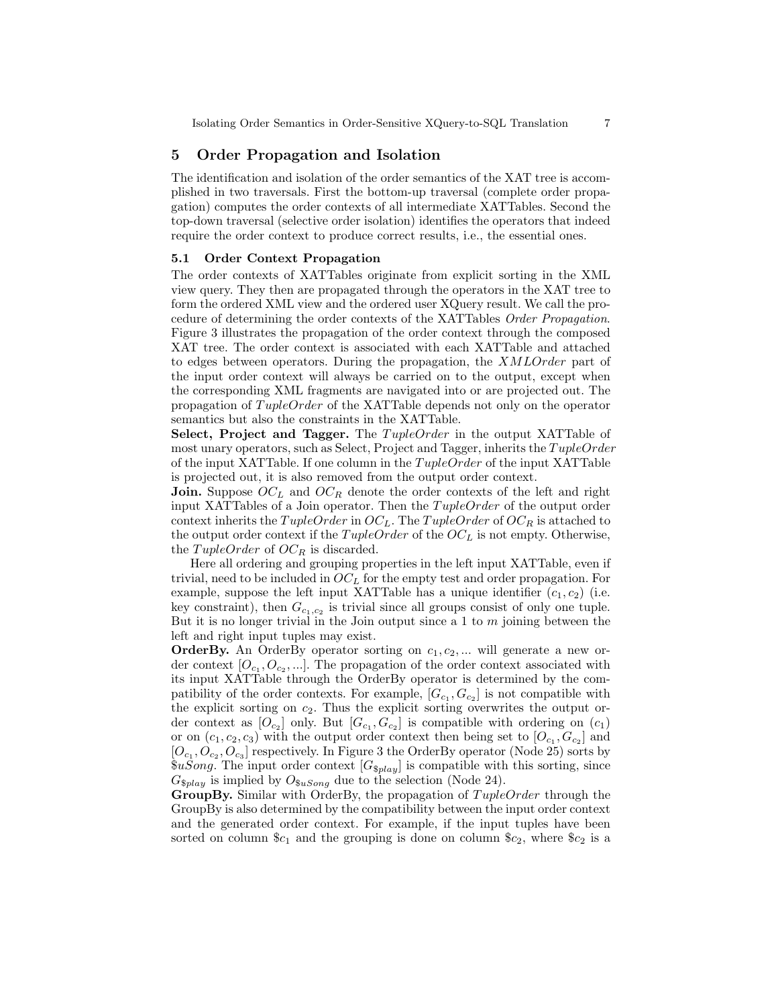# 5 Order Propagation and Isolation

The identification and isolation of the order semantics of the XAT tree is accomplished in two traversals. First the bottom-up traversal (complete order propagation) computes the order contexts of all intermediate XATTables. Second the top-down traversal (selective order isolation) identifies the operators that indeed require the order context to produce correct results, i.e., the essential ones.

#### 5.1 Order Context Propagation

The order contexts of XATTables originate from explicit sorting in the XML view query. They then are propagated through the operators in the XAT tree to form the ordered XML view and the ordered user XQuery result. We call the procedure of determining the order contexts of the XATTables Order Propagation. Figure 3 illustrates the propagation of the order context through the composed XAT tree. The order context is associated with each XATTable and attached to edges between operators. During the propagation, the XMLOrder part of the input order context will always be carried on to the output, except when the corresponding XML fragments are navigated into or are projected out. The propagation of  $TupleOrder$  of the XATTable depends not only on the operator semantics but also the constraints in the XATTable.

Select, Project and Tagger. The TupleOrder in the output XATTable of most unary operators, such as Select, Project and Tagger, inherits the  $TupleOrder$ of the input XATTable. If one column in the  $TupleOrder$  of the input XATTable is projected out, it is also removed from the output order context.

**Join.** Suppose  $OC<sub>L</sub>$  and  $OC<sub>R</sub>$  denote the order contexts of the left and right input XATTables of a Join operator. Then the  $TupleOrder$  of the output order context inherits the TupleOrder in  $OC_L$ . The TupleOrder of  $OC_R$  is attached to the output order context if the  $TupleOrder$  of the  $OC<sub>L</sub>$  is not empty. Otherwise, the TupleOrder of  $OC_R$  is discarded.

Here all ordering and grouping properties in the left input XATTable, even if trivial, need to be included in  $OC<sub>L</sub>$  for the empty test and order propagation. For example, suppose the left input XATTable has a unique identifier  $(c_1, c_2)$  (i.e. key constraint), then  $G_{c_1,c_2}$  is trivial since all groups consist of only one tuple. But it is no longer trivial in the Join output since a  $1$  to  $m$  joining between the left and right input tuples may exist.

**OrderBy.** An OrderBy operator sorting on  $c_1, c_2, ...$  will generate a new order context  $[O_{c_1}, O_{c_2}, \ldots]$ . The propagation of the order context associated with its input XATTable through the OrderBy operator is determined by the compatibility of the order contexts. For example,  $[G_{c_1}, G_{c_2}]$  is not compatible with the explicit sorting on  $c_2$ . Thus the explicit sorting overwrites the output order context as  $[O_{c_2}]$  only. But  $[G_{c_1}, G_{c_2}]$  is compatible with ordering on  $(c_1)$ or on  $(c_1, c_2, c_3)$  with the output order context then being set to  $[O_{c_1}, G_{c_2}]$  and  $[O_{c_1}, O_{c_2}, O_{c_3}]$  respectively. In Figure 3 the OrderBy operator (Node 25) sorts by  $\$u Song$ . The input order context  $[G_{\$play}]$  is compatible with this sorting, since  $G_{\$play}$  is implied by  $O_{\$u Song}$  due to the selection (Node 24).

GroupBy. Similar with OrderBy, the propagation of  $TupleOrder$  through the GroupBy is also determined by the compatibility between the input order context and the generated order context. For example, if the input tuples have been sorted on column  $c_1$  and the grouping is done on column  $c_2$ , where  $c_2$  is a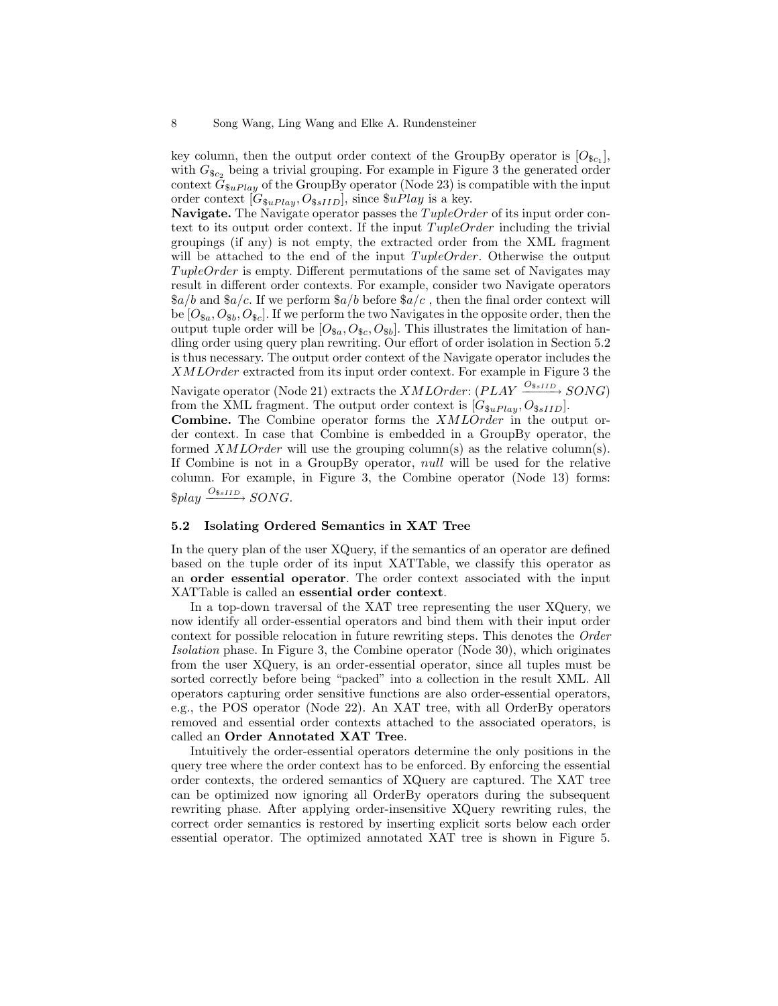key column, then the output order context of the GroupBy operator is  $[O_{\$c_1}]$ , with  $G_{\$c_2}$  being a trivial grouping. For example in Figure 3 the generated order context  $G_{\$uPlay}$  of the GroupBy operator (Node 23) is compatible with the input order context  $[G_{\$u$ *Play*,  $O_{\$sIII}$ , since  $\$u$ *Play* is a key.

**Navigate.** The Navigate operator passes the  $TupleOrder$  of its input order context to its output order context. If the input  $TupleOrder$  including the trivial groupings (if any) is not empty, the extracted order from the XML fragment will be attached to the end of the input  $TupleOrder$ . Otherwise the output  $TupleOrder$  is empty. Different permutations of the same set of Navigates may result in different order contexts. For example, consider two Navigate operators  $a/b$  and  $a/c$ . If we perform  $a/b$  before  $a/c$ , then the final order context will be  $[O_{\$a}, O_{\$b}, O_{\$c}]$ . If we perform the two Navigates in the opposite order, then the output tuple order will be  $[O_{\$a}, O_{\$c}, O_{\$b}]$ . This illustrates the limitation of handling order using query plan rewriting. Our effort of order isolation in Section 5.2 is thus necessary. The output order context of the Navigate operator includes the XMLOrder extracted from its input order context. For example in Figure 3 the

Navigate operator (Node 21) extracts the  $XMLOrder: (PLAY \xrightarrow{O_{\$sIID}} SONG)$ from the XML fragment. The output order context is  $[G_{\$u}$  $Pl_{ay}, O_{\$s}$  $_{ID}]$ .

Combine. The Combine operator forms the XMLOrder in the output order context. In case that Combine is embedded in a GroupBy operator, the formed  $XMLOrder$  will use the grouping column(s) as the relative column(s). If Combine is not in a GroupBy operator, null will be used for the relative column. For example, in Figure 3, the Combine operator (Node 13) forms:  $$play \xrightarrow{O_{\$sIID}} SONG.$ 

#### 5.2 Isolating Ordered Semantics in XAT Tree

In the query plan of the user XQuery, if the semantics of an operator are defined based on the tuple order of its input XATTable, we classify this operator as an order essential operator. The order context associated with the input XATTable is called an essential order context.

In a top-down traversal of the XAT tree representing the user XQuery, we now identify all order-essential operators and bind them with their input order context for possible relocation in future rewriting steps. This denotes the Order Isolation phase. In Figure 3, the Combine operator (Node 30), which originates from the user XQuery, is an order-essential operator, since all tuples must be sorted correctly before being "packed" into a collection in the result XML. All operators capturing order sensitive functions are also order-essential operators, e.g., the POS operator (Node 22). An XAT tree, with all OrderBy operators removed and essential order contexts attached to the associated operators, is called an Order Annotated XAT Tree.

Intuitively the order-essential operators determine the only positions in the query tree where the order context has to be enforced. By enforcing the essential order contexts, the ordered semantics of XQuery are captured. The XAT tree can be optimized now ignoring all OrderBy operators during the subsequent rewriting phase. After applying order-insensitive XQuery rewriting rules, the correct order semantics is restored by inserting explicit sorts below each order essential operator. The optimized annotated XAT tree is shown in Figure 5.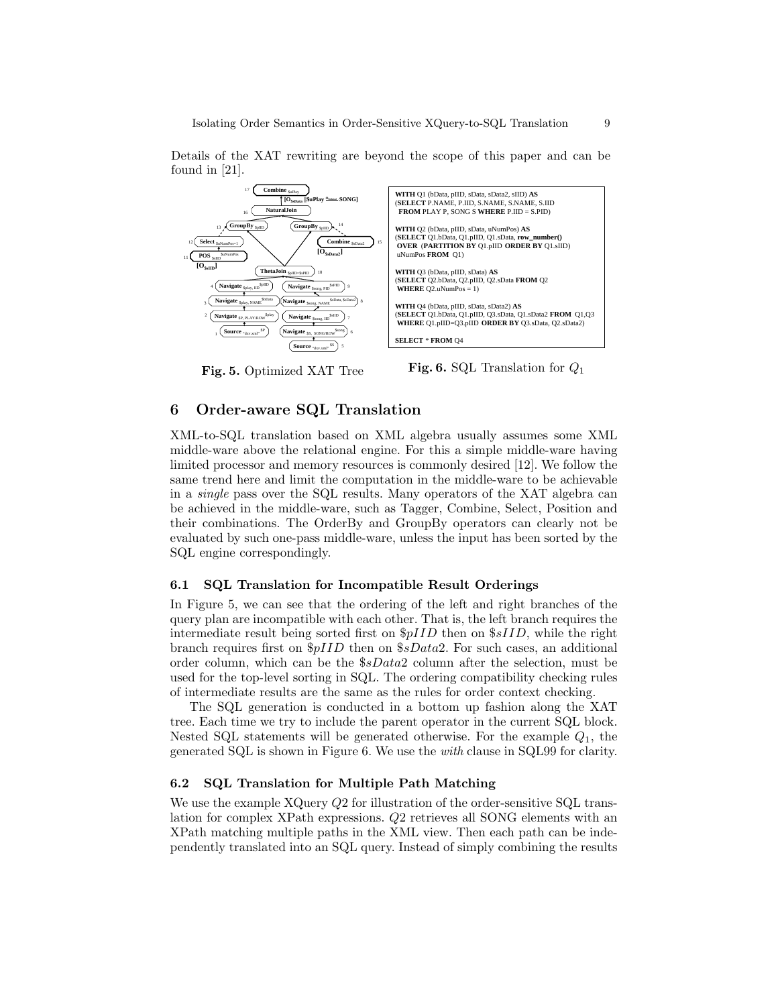

Details of the XAT rewriting are beyond the scope of this paper and can be found in [21].

Fig. 5. Optimized XAT Tree

**Fig. 6.** SQL Translation for  $Q_1$ 

# 6 Order-aware SQL Translation

XML-to-SQL translation based on XML algebra usually assumes some XML middle-ware above the relational engine. For this a simple middle-ware having limited processor and memory resources is commonly desired [12]. We follow the same trend here and limit the computation in the middle-ware to be achievable in a single pass over the SQL results. Many operators of the XAT algebra can be achieved in the middle-ware, such as Tagger, Combine, Select, Position and their combinations. The OrderBy and GroupBy operators can clearly not be evaluated by such one-pass middle-ware, unless the input has been sorted by the SQL engine correspondingly.

#### 6.1 SQL Translation for Incompatible Result Orderings

In Figure 5, we can see that the ordering of the left and right branches of the query plan are incompatible with each other. That is, the left branch requires the intermediate result being sorted first on  $\frac{p}{ID}$  then on  $\frac{p}{ID}$ , while the right branch requires first on  $\frac{6}{1}$  then on  $\frac{6}{10}$  For such cases, an additional order column, which can be the  $$sData2$  column after the selection, must be used for the top-level sorting in SQL. The ordering compatibility checking rules of intermediate results are the same as the rules for order context checking.

The SQL generation is conducted in a bottom up fashion along the XAT tree. Each time we try to include the parent operator in the current SQL block. Nested SQL statements will be generated otherwise. For the example  $Q_1$ , the generated SQL is shown in Figure 6. We use the with clause in SQL99 for clarity.

#### 6.2 SQL Translation for Multiple Path Matching

We use the example XQuery  $Q2$  for illustration of the order-sensitive SQL translation for complex XPath expressions. Q2 retrieves all SONG elements with an XPath matching multiple paths in the XML view. Then each path can be independently translated into an SQL query. Instead of simply combining the results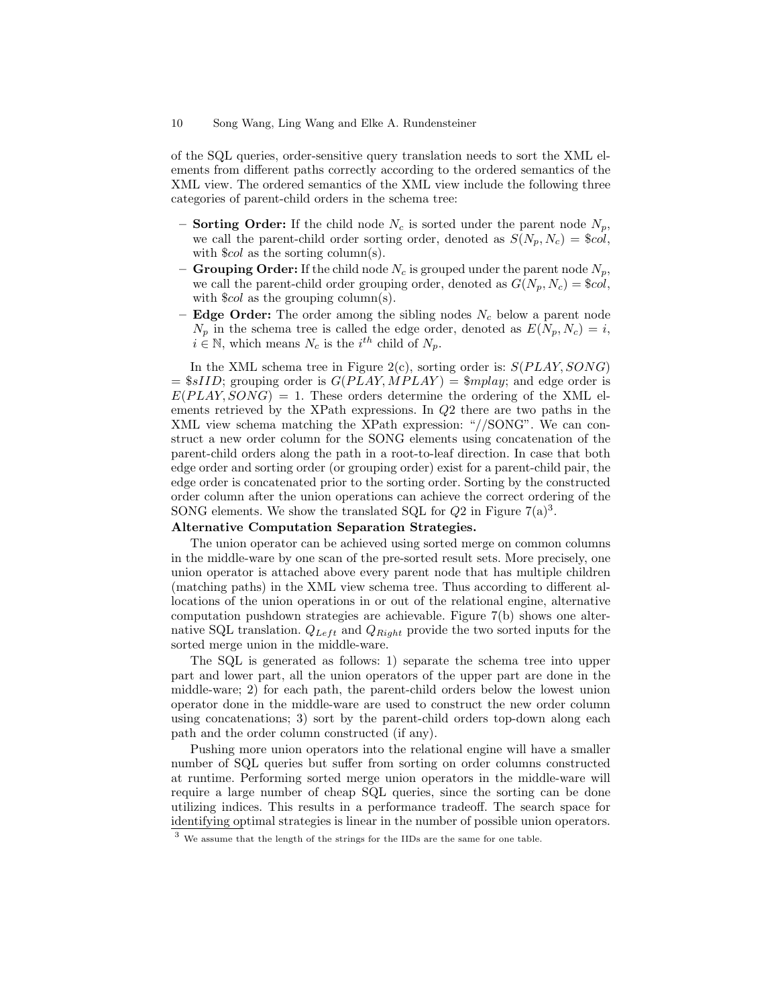#### 10 Song Wang, Ling Wang and Elke A. Rundensteiner

of the SQL queries, order-sensitive query translation needs to sort the XML elements from different paths correctly according to the ordered semantics of the XML view. The ordered semantics of the XML view include the following three categories of parent-child orders in the schema tree:

- Sorting Order: If the child node  $N_c$  is sorted under the parent node  $N_p$ , we call the parent-child order sorting order, denoted as  $S(N_p, N_c) = \$col$ , with  $\text{\$col}$  as the sorting column(s).
- Grouping Order: If the child node  $N_c$  is grouped under the parent node  $N_p$ , we call the parent-child order grouping order, denoted as  $G(N_p, N_c) = \$col$ , with  $\&col$  as the grouping column(s).
- Edge Order: The order among the sibling nodes  $N_c$  below a parent node  $N_p$  in the schema tree is called the edge order, denoted as  $E(N_p, N_c) = i$ ,  $i \in \mathbb{N}$ , which means  $N_c$  is the i<sup>th</sup> child of  $N_p$ .

In the XML schema tree in Figure 2(c), sorting order is:  $S(PLAY, SONG)$  $=$  \$sIID; grouping order is  $G(PLAY, MPLAY) =$  \$mplay; and edge order is  $E(PLAY, SONG) = 1$ . These orders determine the ordering of the XML elements retrieved by the XPath expressions. In Q2 there are two paths in the XML view schema matching the XPath expression: "//SONG". We can construct a new order column for the SONG elements using concatenation of the parent-child orders along the path in a root-to-leaf direction. In case that both edge order and sorting order (or grouping order) exist for a parent-child pair, the edge order is concatenated prior to the sorting order. Sorting by the constructed order column after the union operations can achieve the correct ordering of the SONG elements. We show the translated SQL for  $Q2$  in Figure  $7(a)^3$ .

# Alternative Computation Separation Strategies.

The union operator can be achieved using sorted merge on common columns in the middle-ware by one scan of the pre-sorted result sets. More precisely, one union operator is attached above every parent node that has multiple children (matching paths) in the XML view schema tree. Thus according to different allocations of the union operations in or out of the relational engine, alternative computation pushdown strategies are achievable. Figure 7(b) shows one alternative SQL translation.  $Q_{Left}$  and  $Q_{Right}$  provide the two sorted inputs for the sorted merge union in the middle-ware.

The SQL is generated as follows: 1) separate the schema tree into upper part and lower part, all the union operators of the upper part are done in the middle-ware; 2) for each path, the parent-child orders below the lowest union operator done in the middle-ware are used to construct the new order column using concatenations; 3) sort by the parent-child orders top-down along each path and the order column constructed (if any).

Pushing more union operators into the relational engine will have a smaller number of SQL queries but suffer from sorting on order columns constructed at runtime. Performing sorted merge union operators in the middle-ware will require a large number of cheap SQL queries, since the sorting can be done utilizing indices. This results in a performance tradeoff. The search space for identifying optimal strategies is linear in the number of possible union operators.

 $^3$  We assume that the length of the strings for the IIDs are the same for one table.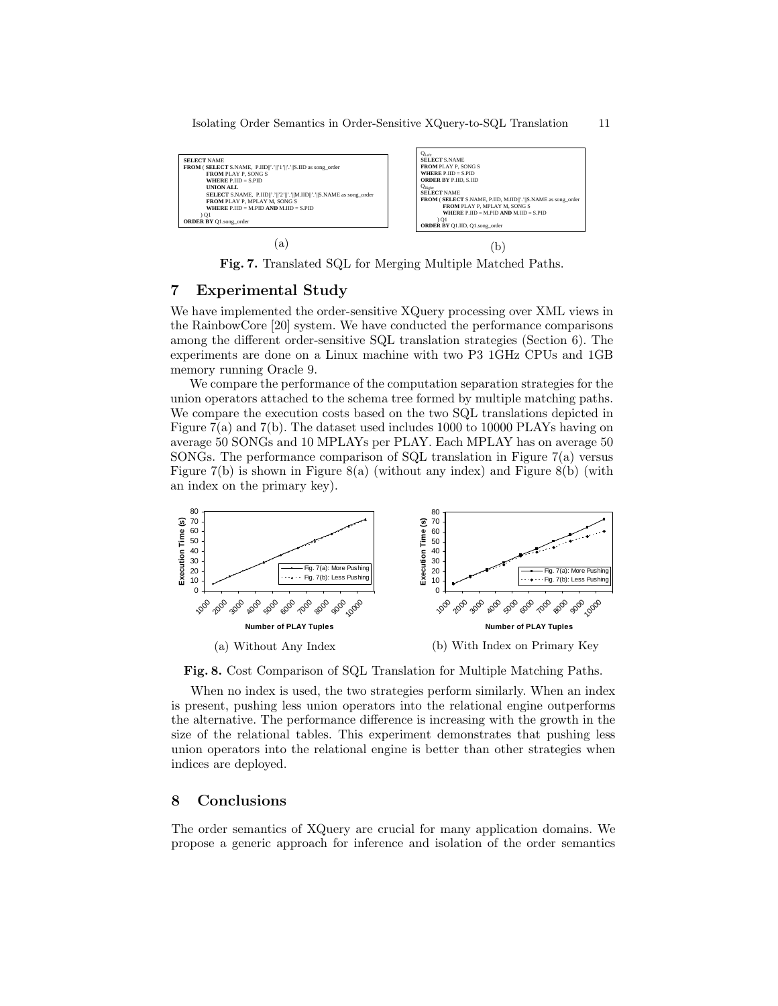Isolating Order Semantics in Order-Sensitive XQuery-to-SQL Translation 11



Fig. 7. Translated SQL for Merging Multiple Matched Paths.

# 7 Experimental Study

We have implemented the order-sensitive XQuery processing over XML views in the RainbowCore [20] system. We have conducted the performance comparisons among the different order-sensitive SQL translation strategies (Section 6). The experiments are done on a Linux machine with two P3 1GHz CPUs and 1GB memory running Oracle 9.

We compare the performance of the computation separation strategies for the union operators attached to the schema tree formed by multiple matching paths. We compare the execution costs based on the two SQL translations depicted in Figure 7(a) and 7(b). The dataset used includes 1000 to 10000 PLAYs having on average 50 SONGs and 10 MPLAYs per PLAY. Each MPLAY has on average 50 SONGs. The performance comparison of SQL translation in Figure  $7(a)$  versus Figure  $7(b)$  is shown in Figure 8(a) (without any index) and Figure 8(b) (with an index on the primary key).



Fig. 8. Cost Comparison of SQL Translation for Multiple Matching Paths.

When no index is used, the two strategies perform similarly. When an index is present, pushing less union operators into the relational engine outperforms the alternative. The performance difference is increasing with the growth in the size of the relational tables. This experiment demonstrates that pushing less union operators into the relational engine is better than other strategies when indices are deployed.

#### 8 Conclusions

The order semantics of XQuery are crucial for many application domains. We propose a generic approach for inference and isolation of the order semantics